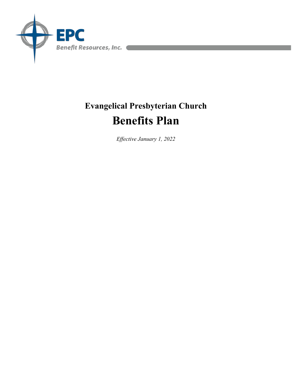

# **Evangelical Presbyterian Church Benefits Plan**

*Effective January 1, 2022*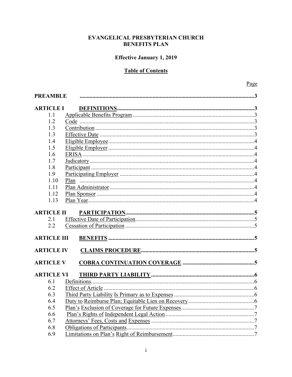# **Effective January 1, 2019**

# **Table of Contents**

| <b>PREAMBLE</b>    |  |  |  |
|--------------------|--|--|--|
| <b>ARTICLE I</b>   |  |  |  |
| 1.1                |  |  |  |
| 1.2                |  |  |  |
| 1.3                |  |  |  |
| 1.3                |  |  |  |
| 1.4                |  |  |  |
| 1.5                |  |  |  |
| 1.6                |  |  |  |
| 1.7                |  |  |  |
| 1.8                |  |  |  |
| 1.9                |  |  |  |
| 1.10               |  |  |  |
| 1.11               |  |  |  |
| 1.12               |  |  |  |
| 1.13               |  |  |  |
| <b>ARTICLE II</b>  |  |  |  |
| 2.1                |  |  |  |
| 2.2                |  |  |  |
|                    |  |  |  |
| <b>ARTICLE III</b> |  |  |  |
| <b>ARTICLE IV</b>  |  |  |  |
| <b>ARTICLE V</b>   |  |  |  |
|                    |  |  |  |
| <b>ARTICLE VI</b>  |  |  |  |
| 6.1                |  |  |  |
| 6.2                |  |  |  |
| 6.3                |  |  |  |
| 6.4                |  |  |  |
| 6.5                |  |  |  |
| 6.6                |  |  |  |
| 6.7                |  |  |  |
| 6.8                |  |  |  |
| 6.9                |  |  |  |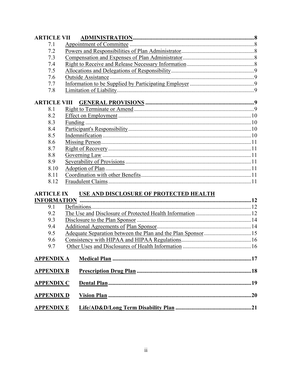| <b>ARTICLE VII</b>  |                                        |  |
|---------------------|----------------------------------------|--|
| 7.1                 |                                        |  |
| 7.2                 |                                        |  |
| 7.3                 |                                        |  |
| 7.4                 |                                        |  |
| 7.5                 |                                        |  |
| 7.6                 |                                        |  |
| 7.7                 |                                        |  |
| 7.8                 |                                        |  |
| <b>ARTICLE VIII</b> |                                        |  |
| 8.1                 |                                        |  |
| 8.2                 |                                        |  |
| 8.3                 |                                        |  |
| 8.4                 |                                        |  |
| 8.5                 |                                        |  |
| 8.6                 |                                        |  |
| 8.7                 |                                        |  |
| 8.8                 |                                        |  |
| 8.9                 |                                        |  |
| 8.10                |                                        |  |
| 8.11                |                                        |  |
| 8.12                |                                        |  |
| <b>ARTICLE IX</b>   | USE AND DISCLOSURE OF PROTECTED HEALTH |  |
|                     |                                        |  |
| 9.1                 |                                        |  |
| 9.2                 |                                        |  |
| 9.3                 |                                        |  |
| 9.4                 |                                        |  |
| 9.5                 |                                        |  |
| 9.6                 |                                        |  |
| 9.7                 |                                        |  |
|                     |                                        |  |
| <b>APPENDIX A</b>   |                                        |  |
| <b>APPENDIX B</b>   |                                        |  |
| <b>APPENDIX C</b>   |                                        |  |
|                     |                                        |  |
| <b>APPENDIX D</b>   |                                        |  |
| <b>APPENDIX E</b>   |                                        |  |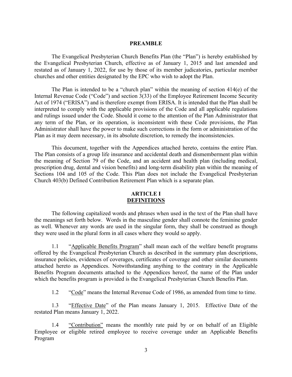#### **PREAMBLE**

The Evangelical Presbyterian Church Benefits Plan (the "Plan") is hereby established by the Evangelical Presbyterian Church, effective as of January 1, 2015 and last amended and restated as of January 1, 2022, for use by those of its member judicatories, particular member churches and other entities designated by the EPC who wish to adopt the Plan.

The Plan is intended to be a "church plan" within the meaning of section 414(e) of the Internal Revenue Code ("Code") and section 3(33) of the Employee Retirement Income Security Act of 1974 ("ERISA") and is therefore exempt from ERISA. It is intended that the Plan shall be interpreted to comply with the applicable provisions of the Code and all applicable regulations and rulings issued under the Code. Should it come to the attention of the Plan Administrator that any term of the Plan, or its operation, is inconsistent with these Code provisions, the Plan Administrator shall have the power to make such corrections in the form or administration of the Plan as it may deem necessary, in its absolute discretion, to remedy the inconsistencies.

This document, together with the Appendices attached hereto, contains the entire Plan. The Plan consists of a group life insurance and accidental death and dismemberment plan within the meaning of Section 79 of the Code, and an accident and health plan (including medical, prescription drug, dental and vision benefits) and long-term disability plan within the meaning of Sections 104 and 105 of the Code. This Plan does not include the Evangelical Presbyterian Church 403(b) Defined Contribution Retirement Plan which is a separate plan.

# **ARTICLE I DEFINITIONS**

The following capitalized words and phrases when used in the text of the Plan shall have the meanings set forth below. Words in the masculine gender shall connote the feminine gender as well. Whenever any words are used in the singular form, they shall be construed as though they were used in the plural form in all cases where they would so apply.

1.1 "Applicable Benefits Program" shall mean each of the welfare benefit programs offered by the Evangelical Presbyterian Church as described in the summary plan descriptions, insurance policies, evidences of coverages, certificates of coverage and other similar documents attached hereto as Appendices. Notwithstanding anything to the contrary in the Applicable Benefits Program documents attached to the Appendices hereof, the name of the Plan under which the benefits program is provided is the Evangelical Presbyterian Church Benefits Plan.

1.2 "Code" means the Internal Revenue Code of 1986, as amended from time to time.

1.3 "Effective Date" of the Plan means January 1, 2015. Effective Date of the restated Plan means January 1, 2022.

1.4 "Contribution" means the monthly rate paid by or on behalf of an Eligible Employee or eligible retired employee to receive coverage under an Applicable Benefits Program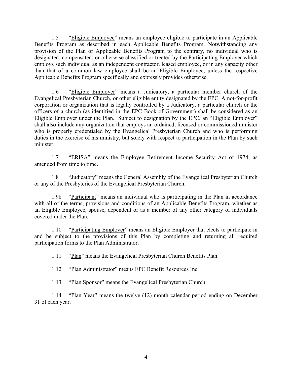1.5 "Eligible Employee" means an employee eligible to participate in an Applicable Benefits Program as described in each Applicable Benefits Program. Notwithstanding any provision of the Plan or Applicable Benefits Program to the contrary, no individual who is designated, compensated, or otherwise classified or treated by the Participating Employer which employs such individual as an independent contractor, leased employee, or in any capacity other than that of a common law employee shall be an Eligible Employee, unless the respective Applicable Benefits Program specifically and expressly provides otherwise.

1.6 "Eligible Employer" means a Judicatory, a particular member church of the Evangelical Presbyterian Church, or other eligible entity designated by the EPC. A not-for-profit corporation or organization that is legally controlled by a Judicatory, a particular church or the officers of a church (as identified in the EPC Book of Government) shall be considered as an Eligible Employer under the Plan. Subject to designation by the EPC, an "Eligible Employer" shall also include any organization that employs an ordained, licensed or commissioned minister who is properly credentialed by the Evangelical Presbyterian Church and who is performing duties in the exercise of his ministry, but solely with respect to participation in the Plan by such minister.

1.7 "ERISA" means the Employee Retirement Income Security Act of 1974, as amended from time to time.

1.8 "Judicatory" means the General Assembly of the Evangelical Presbyterian Church or any of the Presbyteries of the Evangelical Presbyterian Church.

1.98 "Participant" means an individual who is participating in the Plan in accordance with all of the terms, provisions and conditions of an Applicable Benefits Program, whether as an Eligible Employee, spouse, dependent or as a member of any other category of individuals covered under the Plan.

1.10 "Participating Employer" means an Eligible Employer that elects to participate in and be subject to the provisions of this Plan by completing and returning all required participation forms to the Plan Administrator.

1.11 "Plan" means the Evangelical Presbyterian Church Benefits Plan.

1.12 "Plan Administrator" means EPC Benefit Resources Inc.

1.13 "Plan Sponsor" means the Evangelical Presbyterian Church.

1.14 "Plan Year" means the twelve (12) month calendar period ending on December 31 of each year.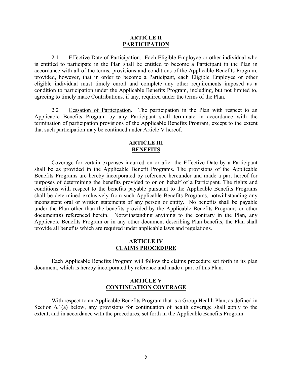#### **ARTICLE II PARTICIPATION**

2.1 Effective Date of Participation. Each Eligible Employee or other individual who is entitled to participate in the Plan shall be entitled to become a Participant in the Plan in accordance with all of the terms, provisions and conditions of the Applicable Benefits Program, provided, however, that in order to become a Participant, each Eligible Employee or other eligible individual must timely enroll and complete any other requirements imposed as a condition to participation under the Applicable Benefits Program, including, but not limited to, agreeing to timely make Contributions, if any, required under the terms of the Plan.

2.2 Cessation of Participation. The participation in the Plan with respect to an Applicable Benefits Program by any Participant shall terminate in accordance with the termination of participation provisions of the Applicable Benefits Program, except to the extent that such participation may be continued under Article V hereof.

# **ARTICLE III BENEFITS**

Coverage for certain expenses incurred on or after the Effective Date by a Participant shall be as provided in the Applicable Benefit Programs. The provisions of the Applicable Benefits Programs are hereby incorporated by reference hereunder and made a part hereof for purposes of determining the benefits provided to or on behalf of a Participant. The rights and conditions with respect to the benefits payable pursuant to the Applicable Benefits Programs shall be determined exclusively from such Applicable Benefits Programs, notwithstanding any inconsistent oral or written statements of any person or entity. No benefits shall be payable under the Plan other than the benefits provided by the Applicable Benefits Programs or other document(s) referenced herein. Notwithstanding anything to the contrary in the Plan, any Applicable Benefits Program or in any other document describing Plan benefits, the Plan shall provide all benefits which are required under applicable laws and regulations.

#### **ARTICLE IV CLAIMS PROCEDURE**

Each Applicable Benefits Program will follow the claims procedure set forth in its plan document, which is hereby incorporated by reference and made a part of this Plan.

#### **ARTICLE V CONTINUATION COVERAGE**

With respect to an Applicable Benefits Program that is a Group Health Plan, as defined in Section 6.1(a) below, any provisions for continuation of health coverage shall apply to the extent, and in accordance with the procedures, set forth in the Applicable Benefits Program.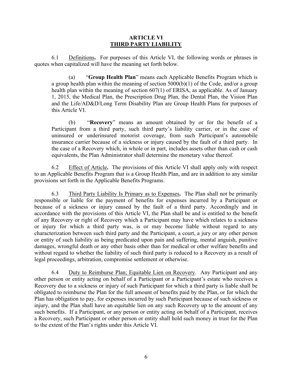## **ARTICLE VI THIRD PARTY LIABILITY**

6.1 Definitions**.** For purposes of this Article VI, the following words or phrases in quotes when capitalized will have the meaning set forth below.

(a) "**Group Health Plan**" means each Applicable Benefits Program which is a group health plan within the meaning of section  $5000(b)(1)$  of the Code, and/or a group health plan within the meaning of section 607(1) of ERISA, as applicable. As of January 1, 2015, the Medical Plan, the Prescription Drug Plan, the Dental Plan, the Vision Plan and the Life/AD&D/Long Term Disability Plan are Group Health Plans for purposes of this Article VI.

(b) "**Recovery**" means an amount obtained by or for the benefit of a Participant from a third party, such third party's liability carrier, or in the case of uninsured or underinsured motorist coverage, from such Participant's automobile insurance carrier because of a sickness or injury caused by the fault of a third party. In the case of a Recovery which, in whole or in part, includes assets other than cash or cash equivalents, the Plan Administrator shall determine the monetary value thereof.

6.2 Effect of Article**.** The provisions of this Article VI shall apply only with respect to an Applicable Benefits Program that is a Group Health Plan, and are in addition to any similar provisions set forth in the Applicable Benefits Programs.

6.3 Third Party Liability Is Primary as to Expenses**.** The Plan shall not be primarily responsible or liable for the payment of benefits for expenses incurred by a Participant or because of a sickness or injury caused by the fault of a third party. Accordingly and in accordance with the provisions of this Article VI, the Plan shall be and is entitled to the benefit of any Recovery or right of Recovery which a Participant may have which relates to a sickness or injury for which a third party was, is or may become liable without regard to any characterization between such third party and the Participant, a court, a jury or any other person or entity of such liability as being predicated upon pain and suffering, mental anguish, punitive damages, wrongful death or any other basis other than for medical or other welfare benefits and without regard to whether the liability of such third party is reduced to a Recovery as a result of legal proceedings, arbitration, compromise settlement or otherwise.

6.4 Duty to Reimburse Plan; Equitable Lien on Recovery. Any Participant and any other person or entity acting on behalf of a Participant or a Participant's estate who receives a Recovery due to a sickness or injury of such Participant for which a third party is liable shall be obligated to reimburse the Plan for the full amount of benefits paid by the Plan, or for which the Plan has obligation to pay, for expenses incurred by such Participant because of such sickness or injury, and the Plan shall have an equitable lien on any such Recovery up to the amount of any such benefits. If a Participant, or any person or entity acting on behalf of a Participant, receives a Recovery, such Participant or other person or entity shall hold such money in trust for the Plan to the extent of the Plan's rights under this Article VI.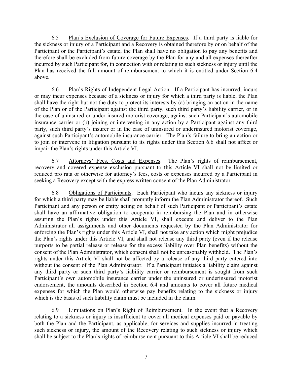6.5 Plan's Exclusion of Coverage for Future Expenses. If a third party is liable for the sickness or injury of a Participant and a Recovery is obtained therefore by or on behalf of the Participant or the Participant's estate, the Plan shall have no obligation to pay any benefits and therefore shall be excluded from future coverage by the Plan for any and all expenses thereafter incurred by such Participant for, in connection with or relating to such sickness or injury until the Plan has received the full amount of reimbursement to which it is entitled under Section 6.4 above.

6.6 Plan's Rights of Independent Legal Action. If a Participant has incurred, incurs or may incur expenses because of a sickness or injury for which a third party is liable, the Plan shall have the right but not the duty to protect its interests by (a) bringing an action in the name of the Plan or of the Participant against the third party, such third party's liability carrier, or in the case of uninsured or under-insured motorist coverage, against such Participant's automobile insurance carrier or (b) joining or intervening in any action by a Participant against any third party, such third party's insurer or in the case of uninsured or underinsured motorist coverage, against such Participant's automobile insurance carrier. The Plan's failure to bring an action or to join or intervene in litigation pursuant to its rights under this Section 6.6 shall not affect or impair the Plan's rights under this Article VI.

6.7 Attorneys' Fees, Costs and Expenses. The Plan's rights of reimbursement, recovery and covered expense exclusion pursuant to this Article VI shall not be limited or reduced pro rata or otherwise for attorney's fees, costs or expenses incurred by a Participant in seeking a Recovery except with the express written consent of the Plan Administrator.

6.8 Obligations of Participants. Each Participant who incurs any sickness or injury for which a third party may be liable shall promptly inform the Plan Administrator thereof. Such Participant and any person or entity acting on behalf of such Participant or Participant's estate shall have an affirmative obligation to cooperate in reimbursing the Plan and in otherwise assuring the Plan's rights under this Article VI, shall execute and deliver to the Plan Administrator all assignments and other documents requested by the Plan Administrator for enforcing the Plan's rights under this Article VI, shall not take any action which might prejudice the Plan's rights under this Article VI, and shall not release any third party (even if the release purports to be partial release or release for the excess liability over Plan benefits) without the consent of the Plan Administrator, which consent shall not be unreasonably withheld. The Plan's rights under this Article VI shall not be affected by a release of any third party entered into without the consent of the Plan Administrator. If a Participant initiates a liability claim against any third party or such third party's liability carrier or reimbursement is sought from such Participant's own automobile insurance carrier under the uninsured or underinsured motorist endorsement, the amounts described in Section 6.4 and amounts to cover all future medical expenses for which the Plan would otherwise pay benefits relating to the sickness or injury which is the basis of such liability claim must be included in the claim.

6.9 Limitations on Plan's Right of Reimbursement. In the event that a Recovery relating to a sickness or injury is insufficient to cover all medical expenses paid or payable by both the Plan and the Participant, as applicable, for services and supplies incurred in treating such sickness or injury, the amount of the Recovery relating to such sickness or injury which shall be subject to the Plan's rights of reimbursement pursuant to this Article VI shall be reduced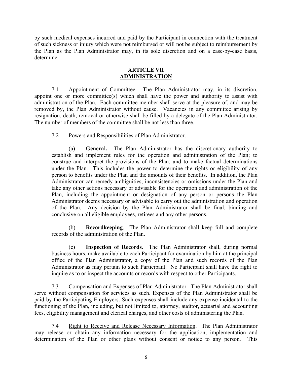by such medical expenses incurred and paid by the Participant in connection with the treatment of such sickness or injury which were not reimbursed or will not be subject to reimbursement by the Plan as the Plan Administrator may, in its sole discretion and on a case-by-case basis, determine.

# **ARTICLE VII ADMINISTRATION**

7.1 Appointment of Committee. The Plan Administrator may, in its discretion, appoint one or more committee(s) which shall have the power and authority to assist with administration of the Plan. Each committee member shall serve at the pleasure of, and may be removed by, the Plan Administrator without cause. Vacancies in any committee arising by resignation, death, removal or otherwise shall be filled by a delegate of the Plan Administrator. The number of members of the committee shall be not less than three.

# 7.2 Powers and Responsibilities of Plan Administrator.

(a) **Genera**l**.** The Plan Administrator has the discretionary authority to establish and implement rules for the operation and administration of the Plan; to construe and interpret the provisions of the Plan; and to make factual determinations under the Plan. This includes the power to determine the rights or eligibility of any person to benefits under the Plan and the amounts of their benefits. In addition, the Plan Administrator can remedy ambiguities, inconsistencies or omissions under the Plan and take any other actions necessary or advisable for the operation and administration of the Plan, including the appointment or designation of any person or persons the Plan Administrator deems necessary or advisable to carry out the administration and operation of the Plan. Any decision by the Plan Administrator shall be final, binding and conclusive on all eligible employees, retirees and any other persons.

(b) **Recordkeeping**. The Plan Administrator shall keep full and complete records of the administration of the Plan.

(c) **Inspection of Records**. The Plan Administrator shall, during normal business hours, make available to each Participant for examination by him at the principal office of the Plan Administrator, a copy of the Plan and such records of the Plan Administrator as may pertain to such Participant. No Participant shall have the right to inquire as to or inspect the accounts or records with respect to other Participants.

7.3 Compensation and Expenses of Plan Administrator. The Plan Administrator shall serve without compensation for services as such. Expenses of the Plan Administrator shall be paid by the Participating Employers. Such expenses shall include any expense incidental to the functioning of the Plan, including, but not limited to, attorney, auditor, actuarial and accounting fees, eligibility management and clerical charges, and other costs of administering the Plan.

7.4 Right to Receive and Release Necessary Information. The Plan Administrator may release or obtain any information necessary for the application, implementation and determination of the Plan or other plans without consent or notice to any person. This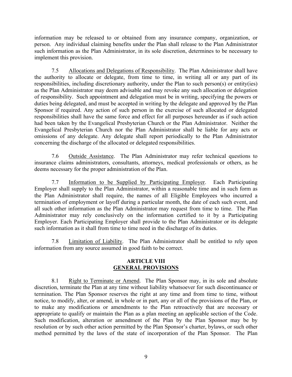information may be released to or obtained from any insurance company, organization, or person. Any individual claiming benefits under the Plan shall release to the Plan Administrator such information as the Plan Administrator, in its sole discretion, determines to be necessary to implement this provision.

7.5 Allocations and Delegations of Responsibility. The Plan Administrator shall have the authority to allocate or delegate, from time to time, in writing all or any part of its responsibilities, including discretionary authority, under the Plan to such person(s) or entity(ies) as the Plan Administrator may deem advisable and may revoke any such allocation or delegation of responsibility. Such appointment and delegation must be in writing, specifying the powers or duties being delegated, and must be accepted in writing by the delegate and approved by the Plan Sponsor if required. Any action of such person in the exercise of such allocated or delegated responsibilities shall have the same force and effect for all purposes hereunder as if such action had been taken by the Evangelical Presbyterian Church or the Plan Administrator. Neither the Evangelical Presbyterian Church nor the Plan Administrator shall be liable for any acts or omissions of any delegate. Any delegate shall report periodically to the Plan Administrator concerning the discharge of the allocated or delegated responsibilities.

7.6 Outside Assistance. The Plan Administrator may refer technical questions to insurance claims administrators, consultants, attorneys, medical professionals or others, as he deems necessary for the proper administration of the Plan.

7.7 Information to be Supplied by Participating Employer. Each Participating Employer shall supply to the Plan Administrator, within a reasonable time and in such form as the Plan Administrator shall require, the names of all Eligible Employees who incurred a termination of employment or layoff during a particular month, the date of each such event, and all such other information as the Plan Administrator may request from time to time. The Plan Administrator may rely conclusively on the information certified to it by a Participating Employer. Each Participating Employer shall provide to the Plan Administrator or its delegate such information as it shall from time to time need in the discharge of its duties.

7.8 Limitation of Liability. The Plan Administrator shall be entitled to rely upon information from any source assumed in good faith to be correct.

## **ARTICLE VIII GENERAL PROVISIONS**

8.1 Right to Terminate or Amend. The Plan Sponsor may, in its sole and absolute discretion, terminate the Plan at any time without liability whatsoever for such discontinuance or termination. The Plan Sponsor reserves the right at any time and from time to time, without notice, to modify, alter, or amend, in whole or in part, any or all of the provisions of the Plan, or to make any modifications or amendments to the Plan retroactively that are necessary or appropriate to qualify or maintain the Plan as a plan meeting an applicable section of the Code. Such modification, alteration or amendment of the Plan by the Plan Sponsor may be by resolution or by such other action permitted by the Plan Sponsor's charter, bylaws, or such other method permitted by the laws of the state of incorporation of the Plan Sponsor. The Plan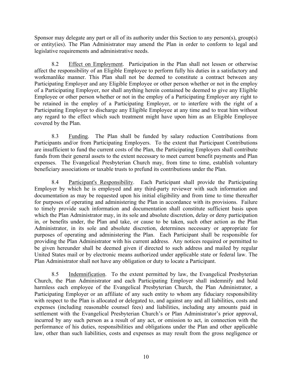Sponsor may delegate any part or all of its authority under this Section to any person(s), group(s) or entity(ies). The Plan Administrator may amend the Plan in order to conform to legal and legislative requirements and administrative needs.

8.2 Effect on Employment. Participation in the Plan shall not lessen or otherwise affect the responsibility of an Eligible Employee to perform fully his duties in a satisfactory and workmanlike manner. This Plan shall not be deemed to constitute a contract between any Participating Employer and any Eligible Employee or other person whether or not in the employ of a Participating Employer, nor shall anything herein contained be deemed to give any Eligible Employee or other person whether or not in the employ of a Participating Employer any right to be retained in the employ of a Participating Employer, or to interfere with the right of a Participating Employer to discharge any Eligible Employee at any time and to treat him without any regard to the effect which such treatment might have upon him as an Eligible Employee covered by the Plan.

8.3 Funding. The Plan shall be funded by salary reduction Contributions from Participants and/or from Participating Employers. To the extent that Participant Contributions are insufficient to fund the current costs of the Plan, the Participating Employers shall contribute funds from their general assets to the extent necessary to meet current benefit payments and Plan expenses. The Evangelical Presbyterian Church may, from time to time, establish voluntary beneficiary associations or taxable trusts to prefund its contributions under the Plan.

8.4 Participant's Responsibility. Each Participant shall provide the Participating Employer by which he is employed and any third-party reviewer with such information and documentation as may be requested upon his initial eligibility and from time to time thereafter for purposes of operating and administering the Plan in accordance with its provisions. Failure to timely provide such information and documentation shall constitute sufficient basis upon which the Plan Administrator may, in its sole and absolute discretion, delay or deny participation in, or benefits under, the Plan and take, or cause to be taken, such other action as the Plan Administrator, in its sole and absolute discretion, determines necessary or appropriate for purposes of operating and administering the Plan. Each Participant shall be responsible for providing the Plan Administrator with his current address. Any notices required or permitted to be given hereunder shall be deemed given if directed to such address and mailed by regular United States mail or by electronic means authorized under applicable state or federal law. The Plan Administrator shall not have any obligation or duty to locate a Participant.

8.5 Indemnification. To the extent permitted by law, the Evangelical Presbyterian Church, the Plan Administrator and each Participating Employer shall indemnify and hold harmless each employee of the Evangelical Presbyterian Church, the Plan Administrator, a Participating Employer or an affiliate of any such entity to whom any fiduciary responsibility with respect to the Plan is allocated or delegated to, and against any and all liabilities, costs and expenses (including reasonable counsel fees) and liabilities, including any amounts paid in settlement with the Evangelical Presbyterian Church's or Plan Administrator's prior approval, incurred by any such person as a result of any act, or omission to act, in connection with the performance of his duties, responsibilities and obligations under the Plan and other applicable law, other than such liabilities, costs and expenses as may result from the gross negligence or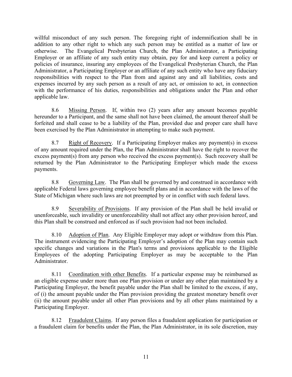willful misconduct of any such person. The foregoing right of indemnification shall be in addition to any other right to which any such person may be entitled as a matter of law or otherwise. The Evangelical Presbyterian Church, the Plan Administrator, a Participating Employer or an affiliate of any such entity may obtain, pay for and keep current a policy or policies of insurance, insuring any employees of the Evangelical Presbyterian Church, the Plan Administrator, a Participating Employer or an affiliate of any such entity who have any fiduciary responsibilities with respect to the Plan from and against any and all liabilities, costs and expenses incurred by any such person as a result of any act, or omission to act, in connection with the performance of his duties, responsibilities and obligations under the Plan and other applicable law.

8.6 Missing Person. If, within two (2) years after any amount becomes payable hereunder to a Participant, and the same shall not have been claimed, the amount thereof shall be forfeited and shall cease to be a liability of the Plan, provided due and proper care shall have been exercised by the Plan Administrator in attempting to make such payment.

8.7 Right of Recovery. If a Participating Employer makes any payment(s) in excess of any amount required under the Plan, the Plan Administrator shall have the right to recover the excess payment(s) from any person who received the excess payment(s). Such recovery shall be returned by the Plan Administrator to the Participating Employer which made the excess payments.

8.8 Governing Law. The Plan shall be governed by and construed in accordance with applicable Federal laws governing employee benefit plans and in accordance with the laws of the State of Michigan where such laws are not preempted by or in conflict with such federal laws.

8.9 Severability of Provisions. If any provision of the Plan shall be held invalid or unenforceable, such invalidity or unenforceability shall not affect any other provision hereof, and this Plan shall be construed and enforced as if such provision had not been included.

8.10 Adoption of Plan. Any Eligible Employer may adopt or withdraw from this Plan. The instrument evidencing the Participating Employer's adoption of the Plan may contain such specific changes and variations in the Plan's terms and provisions applicable to the Eligible Employees of the adopting Participating Employer as may be acceptable to the Plan Administrator.

8.11 Coordination with other Benefits. If a particular expense may be reimbursed as an eligible expense under more than one Plan provision or under any other plan maintained by a Participating Employer, the benefit payable under the Plan shall be limited to the excess, if any, of (i) the amount payable under the Plan provision providing the greatest monetary benefit over (ii) the amount payable under all other Plan provisions and by all other plans maintained by a Participating Employer.

8.12 Fraudulent Claims. If any person files a fraudulent application for participation or a fraudulent claim for benefits under the Plan, the Plan Administrator, in its sole discretion, may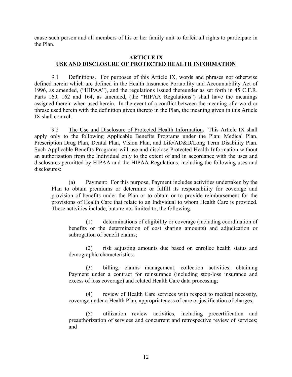cause such person and all members of his or her family unit to forfeit all rights to participate in the Plan.

#### **ARTICLE IX USE AND DISCLOSURE OF PROTECTED HEALTH INFORMATION**

9.1 Definitions**.** For purposes of this Article IX, words and phrases not otherwise defined herein which are defined in the Health Insurance Portability and Accountability Act of 1996, as amended, ("HIPAA"), and the regulations issued thereunder as set forth in 45 C.F.R. Parts 160, 162 and 164, as amended, (the "HIPAA Regulations") shall have the meanings assigned therein when used herein. In the event of a conflict between the meaning of a word or phrase used herein with the definition given thereto in the Plan, the meaning given in this Article IX shall control.

9.2 The Use and Disclosure of Protected Health Information**.** This Article IX shall apply only to the following Applicable Benefits Programs under the Plan: Medical Plan, Prescription Drug Plan, Dental Plan, Vision Plan, and Life/AD&D/Long Term Disability Plan. Such Applicable Benefits Programs will use and disclose Protected Health Information without an authorization from the Individual only to the extent of and in accordance with the uses and disclosures permitted by HIPAA and the HIPAA Regulations, including the following uses and disclosures:

(a) Payment: For this purpose, Payment includes activities undertaken by the Plan to obtain premiums or determine or fulfill its responsibility for coverage and provision of benefits under the Plan or to obtain or to provide reimbursement for the provisions of Health Care that relate to an Individual to whom Health Care is provided. These activities include, but are not limited to, the following:

(1) determinations of eligibility or coverage (including coordination of benefits or the determination of cost sharing amounts) and adjudication or subrogation of benefit claims;

(2) risk adjusting amounts due based on enrollee health status and demographic characteristics;

(3) billing, claims management, collection activities, obtaining Payment under a contract for reinsurance (including stop-loss insurance and excess of loss coverage) and related Health Care data processing;

(4) review of Health Care services with respect to medical necessity, coverage under a Health Plan, appropriateness of care or justification of charges;

(5) utilization review activities, including precertification and preauthorization of services and concurrent and retrospective review of services; and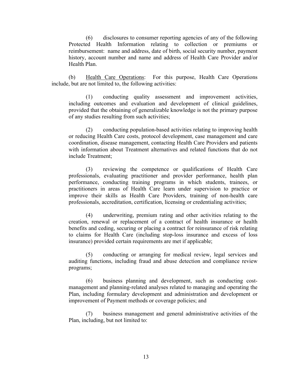(6) disclosures to consumer reporting agencies of any of the following Protected Health Information relating to collection or premiums or reimbursement: name and address, date of birth, social security number, payment history, account number and name and address of Health Care Provider and/or Health Plan.

(b) Health Care Operations: For this purpose, Health Care Operations include, but are not limited to, the following activities:

(1) conducting quality assessment and improvement activities, including outcomes and evaluation and development of clinical guidelines, provided that the obtaining of generalizable knowledge is not the primary purpose of any studies resulting from such activities;

(2) conducting population-based activities relating to improving health or reducing Health Care costs, protocol development, case management and care coordination, disease management, contacting Health Care Providers and patients with information about Treatment alternatives and related functions that do not include Treatment;

(3) reviewing the competence or qualifications of Health Care professionals, evaluating practitioner and provider performance, health plan performance, conducting training programs in which students, trainees, or practitioners in areas of Health Care learn under supervision to practice or improve their skills as Health Care Providers, training of non-health care professionals, accreditation, certification, licensing or credentialing activities;

(4) underwriting, premium rating and other activities relating to the creation, renewal or replacement of a contract of health insurance or health benefits and ceding, securing or placing a contract for reinsurance of risk relating to claims for Health Care (including stop-loss insurance and excess of loss insurance) provided certain requirements are met if applicable;

(5) conducting or arranging for medical review, legal services and auditing functions, including fraud and abuse detection and compliance review programs;

(6) business planning and development, such as conducting costmanagement and planning-related analyses related to managing and operating the Plan, including formulary development and administration and development or improvement of Payment methods or coverage policies; and

(7) business management and general administrative activities of the Plan, including, but not limited to: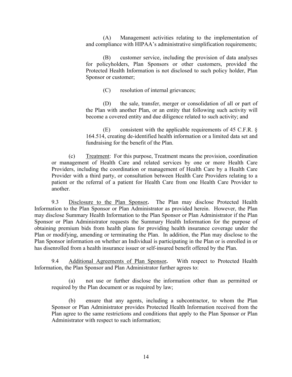(A) Management activities relating to the implementation of and compliance with HIPAA's administrative simplification requirements;

(B) customer service, including the provision of data analyses for policyholders, Plan Sponsors or other customers, provided the Protected Health Information is not disclosed to such policy holder, Plan Sponsor or customer;

(C) resolution of internal grievances;

(D) the sale, transfer, merger or consolidation of all or part of the Plan with another Plan, or an entity that following such activity will become a covered entity and due diligence related to such activity; and

(E) consistent with the applicable requirements of 45 C.F.R. § 164.514, creating de-identified health information or a limited data set and fundraising for the benefit of the Plan.

(c) Treatment: For this purpose, Treatment means the provision, coordination or management of Health Care and related services by one or more Health Care Providers, including the coordination or management of Health Care by a Health Care Provider with a third party, or consultation between Health Care Providers relating to a patient or the referral of a patient for Health Care from one Health Care Provider to another.

9.3 Disclosure to the Plan Sponsor**.** The Plan may disclose Protected Health Information to the Plan Sponsor or Plan Administrator as provided herein. However, the Plan may disclose Summary Health Information to the Plan Sponsor or Plan Administrator if the Plan Sponsor or Plan Administrator requests the Summary Health Information for the purpose of obtaining premium bids from health plans for providing health insurance coverage under the Plan or modifying, amending or terminating the Plan. In addition, the Plan may disclose to the Plan Sponsor information on whether an Individual is participating in the Plan or is enrolled in or has disenrolled from a health insurance issuer or self-insured benefit offered by the Plan.

9.4 Additional Agreements of Plan Sponsor**.** With respect to Protected Health Information, the Plan Sponsor and Plan Administrator further agrees to:

(a) not use or further disclose the information other than as permitted or required by the Plan document or as required by law;

(b) ensure that any agents, including a subcontractor, to whom the Plan Sponsor or Plan Administrator provides Protected Health Information received from the Plan agree to the same restrictions and conditions that apply to the Plan Sponsor or Plan Administrator with respect to such information;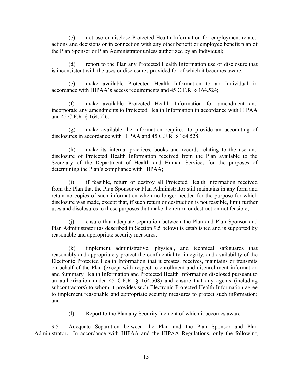(c) not use or disclose Protected Health Information for employment-related actions and decisions or in connection with any other benefit or employee benefit plan of the Plan Sponsor or Plan Administrator unless authorized by an Individual;

(d) report to the Plan any Protected Health Information use or disclosure that is inconsistent with the uses or disclosures provided for of which it becomes aware;

(e) make available Protected Health Information to an Individual in accordance with HIPAA's access requirements and 45 C.F.R. § 164.524;

(f) make available Protected Health Information for amendment and incorporate any amendments to Protected Health Information in accordance with HIPAA and 45 C.F.R. § 164.526;

(g) make available the information required to provide an accounting of disclosures in accordance with HIPAA and 45 C.F.R. § 164.528;

(h) make its internal practices, books and records relating to the use and disclosure of Protected Health Information received from the Plan available to the Secretary of the Department of Health and Human Services for the purposes of determining the Plan's compliance with HIPAA;

(i) if feasible, return or destroy all Protected Health Information received from the Plan that the Plan Sponsor or Plan Administrator still maintains in any form and retain no copies of such information when no longer needed for the purpose for which disclosure was made, except that, if such return or destruction is not feasible, limit further uses and disclosures to those purposes that make the return or destruction not feasible;

(j) ensure that adequate separation between the Plan and Plan Sponsor and Plan Administrator (as described in Section 9.5 below) is established and is supported by reasonable and appropriate security measures;

(k) implement administrative, physical, and technical safeguards that reasonably and appropriately protect the confidentiality, integrity, and availability of the Electronic Protected Health Information that it creates, receives, maintains or transmits on behalf of the Plan (except with respect to enrollment and disenrollment information and Summary Health Information and Protected Health Information disclosed pursuant to an authorization under 45 C.F.R. § 164.508) and ensure that any agents (including subcontractors) to whom it provides such Electronic Protected Health Information agree to implement reasonable and appropriate security measures to protect such information; and

(l) Report to the Plan any Security Incident of which it becomes aware.

9.5 Adequate Separation between the Plan and the Plan Sponsor and Plan Administrator**.** In accordance with HIPAA and the HIPAA Regulations, only the following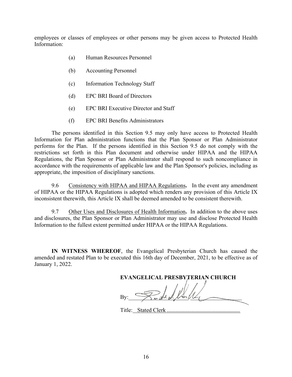employees or classes of employees or other persons may be given access to Protected Health Information:

- (a) Human Resources Personnel
- (b) Accounting Personnel
- (c) Information Technology Staff
- (d) EPC BRI Board of Directors
- (e) EPC BRI Executive Director and Staff
- (f) EPC BRI Benefits Administrators

The persons identified in this Section 9.5 may only have access to Protected Health Information for Plan administration functions that the Plan Sponsor or Plan Administrator performs for the Plan. If the persons identified in this Section 9.5 do not comply with the restrictions set forth in this Plan document and otherwise under HIPAA and the HIPAA Regulations, the Plan Sponsor or Plan Administrator shall respond to such noncompliance in accordance with the requirements of applicable law and the Plan Sponsor's policies, including as appropriate, the imposition of disciplinary sanctions.

9.6 Consistency with HIPAA and HIPAA Regulations**.** In the event any amendment of HIPAA or the HIPAA Regulations is adopted which renders any provision of this Article IX inconsistent therewith, this Article IX shall be deemed amended to be consistent therewith.

9.7 Other Uses and Disclosures of Health Information**.** In addition to the above uses and disclosures, the Plan Sponsor or Plan Administrator may use and disclose Protected Health Information to the fullest extent permitted under HIPAA or the HIPAA Regulations.

**IN WITNESS WHEREOF**, the Evangelical Presbyterian Church has caused the amended and restated Plan to be executed this 16th day of December, 2021, to be effective as of January 1, 2022.

**EVANGELICAL PRESBYTERIAN CHURCH** By:  $\longrightarrow$  we did of finite

Title: Stated Clerk ...................................................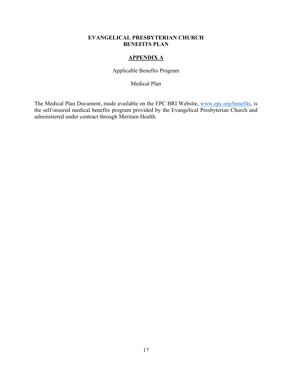# **APPENDIX A**

Applicable Benefits Program

Medical Plan

The Medical Plan Document, made available on the EPC BRI Website, www.epc.org/benefits, is the self-insured medical benefits program provided by the Evangelical Presbyterian Church and administered under contract through Meritain Health.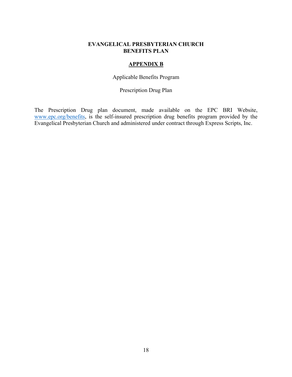# **APPENDIX B**

Applicable Benefits Program

Prescription Drug Plan

The Prescription Drug plan document, made available on the EPC BRI Website, www.epc.org/benefits, is the self-insured prescription drug benefits program provided by the Evangelical Presbyterian Church and administered under contract through Express Scripts, Inc.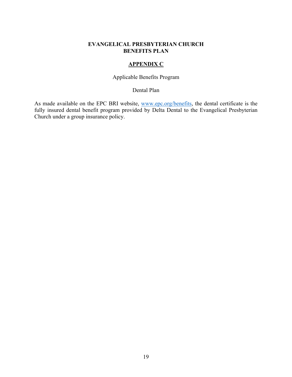# **APPENDIX C**

# Applicable Benefits Program

Dental Plan

As made available on the EPC BRI website, www.epc.org/benefits, the dental certificate is the fully insured dental benefit program provided by Delta Dental to the Evangelical Presbyterian Church under a group insurance policy.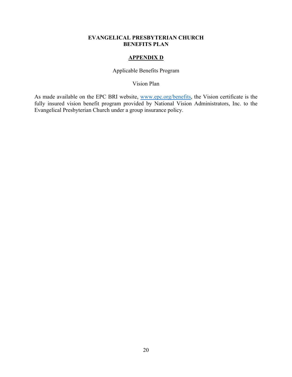### **APPENDIX D**

Applicable Benefits Program

Vision Plan

As made available on the EPC BRI website, www.epc.org/benefits, the Vision certificate is the fully insured vision benefit program provided by National Vision Administrators, Inc. to the Evangelical Presbyterian Church under a group insurance policy.